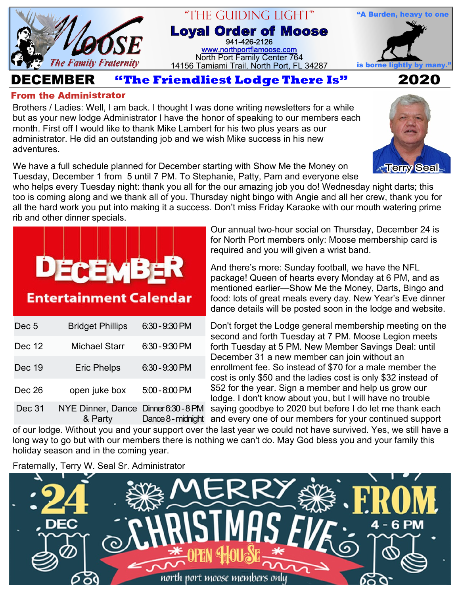

## "The Guiding Light" **Loyal Order of Moose** 941-426-2126 [www.northportflamoose.com](http://www.northportflamoose.com) North Port Family Center 764

14156 Tamiami Trail, North Port, FL 34287 **is borne light** 



**DECEMBER 2020**

## **From the Administrator**

Brothers / Ladies: Well, I am back. I thought I was done writing newsletters for a while but as your new lodge Administrator I have the honor of speaking to our members each month. First off I would like to thank Mike Lambert for his two plus years as our administrator. He did an outstanding job and we wish Mike success in his new adventures.

We have a full schedule planned for December starting with Show Me the Money on Tuesday, December 1 from 5 until 7 PM. To Stephanie, Patty, Pam and everyone else



who helps every Tuesday night: thank you all for the our amazing job you do! Wednesday night darts; this too is coming along and we thank all of you. Thursday night bingo with Angie and all her crew, thank you for all the hard work you put into making it a success. Don't miss Friday Karaoke with our mouth watering prime rib and other dinner specials.



**Entertainment Calendar** 

| Dec <sub>5</sub> | <b>Bridget Phillips</b>                       | $6:30 - 9:30$ PM   |
|------------------|-----------------------------------------------|--------------------|
| Dec 12           | <b>Michael Starr</b>                          | $6:30 - 9:30$ PM   |
| Dec 19           | <b>Eric Phelps</b>                            | 6:30 - 9:30 PM     |
| Dec 26           | open juke box                                 | $5:00 - 8:00$ PM   |
| Dec 31           | NYE Dinner, Dance Dinner 6:30-8 PM<br>& Party | Dance 8 - midnight |

Our annual two-hour social on Thursday, December 24 is for North Port members only: Moose membership card is required and you will given a wrist band.

And there's more: Sunday football, we have the NFL package! Queen of hearts every Monday at 6 PM, and as mentioned earlier—Show Me the Money, Darts, Bingo and food: lots of great meals every day. New Year's Eve dinner dance details will be posted soon in the lodge and website.

Don't forget the Lodge general membership meeting on the second and forth Tuesday at 7 PM. Moose Legion meets forth Tuesday at 5 PM. New Member Savings Deal: until December 31 a new member can join without an enrollment fee. So instead of \$70 for a male member the cost is only \$50 and the ladies cost is only \$32 instead of \$52 for the year. Sign a member and help us grow our lodge. I don't know about you, but I will have no trouble saying goodbye to 2020 but before I do let me thank each Dance 8-midnight and every one of our members for your continued support

of our lodge. Without you and your support over the last year we could not have survived. Yes, we still have a long way to go but with our members there is nothing we can't do. May God bless you and your family this holiday season and in the coming year.

Fraternally, Terry W. Seal Sr. Administrator

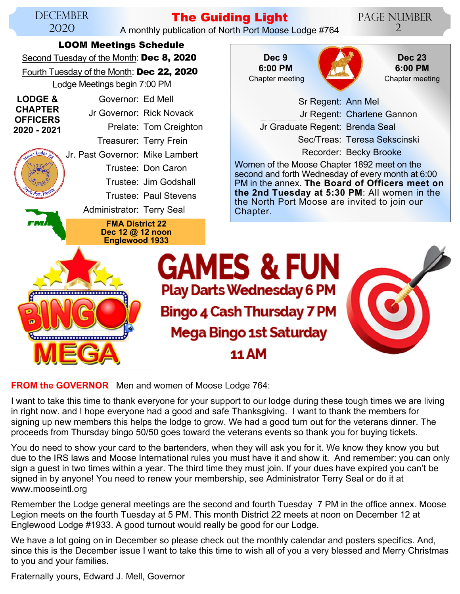

**FROM the GOVERNOR** Men and women of Moose Lodge 764:

I want to take this time to thank everyone for your support to our lodge during these tough times we are living in right now. and I hope everyone had a good and safe Thanksgiving. I want to thank the members for signing up new members this helps the lodge to grow. We had a good turn out for the veterans dinner. The proceeds from Thursday bingo 50/50 goes toward the veterans events so thank you for buying tickets.

You do need to show your card to the bartenders, when they will ask you for it. We know they know you but due to the IRS laws and Moose International rules you must have it and show it. And remember: you can only sign a guest in two times within a year. The third time they must join. If your dues have expired you can't be signed in by anyone! You need to renew your membership, see Administrator Terry Seal or do it at www.mooseintl.org

Remember the Lodge general meetings are the second and fourth Tuesday 7 PM in the office annex. Moose Legion meets on the fourth Tuesday at 5 PM. This month District 22 meets at noon on December 12 at Englewood Lodge #1933. A good turnout would really be good for our Lodge.

We have a lot going on in December so please check out the monthly calendar and posters specifics. And, since this is the December issue I want to take this time to wish all of you a very blessed and Merry Christmas to you and your families.

Fraternally yours, Edward J. Mell, Governor